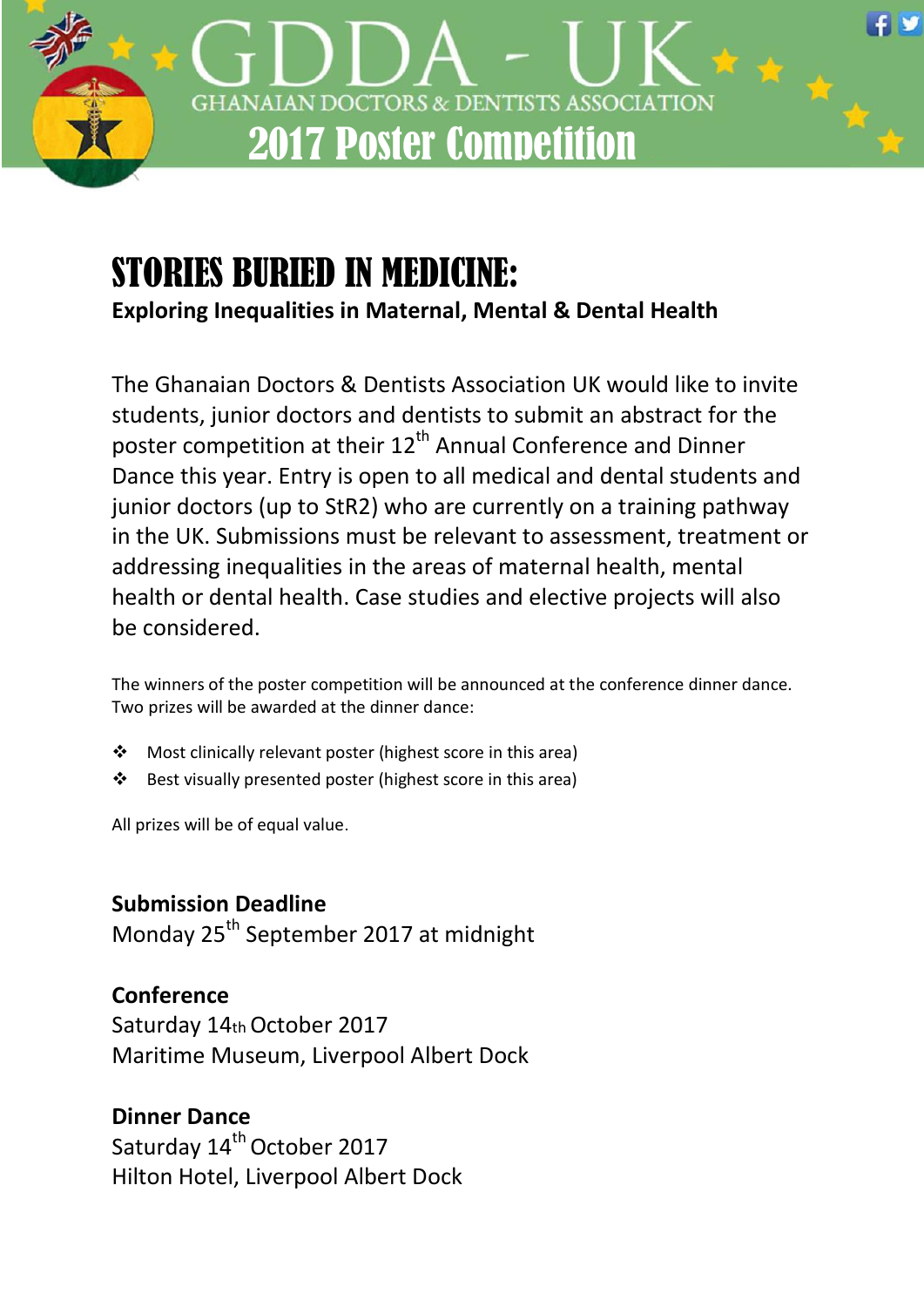

# STORIES BURIED IN MEDICINE:

**Exploring Inequalities in Maternal, Mental & Dental Health**

The Ghanaian Doctors & Dentists Association UK would like to invite students, junior doctors and dentists to submit an abstract for the poster competition at their 12<sup>th</sup> Annual Conference and Dinner Dance this year. Entry is open to all medical and dental students and junior doctors (up to StR2) who are currently on a training pathway in the UK. Submissions must be relevant to assessment, treatment or addressing inequalities in the areas of maternal health, mental health or dental health. Case studies and elective projects will also be considered.

The winners of the poster competition will be announced at the conference dinner dance. Two prizes will be awarded at the dinner dance:

- Most clinically relevant poster (highest score in this area)
- $\cdot \cdot$  Best visually presented poster (highest score in this area)

All prizes will be of equal value.

## **Submission Deadline**

Monday 25<sup>th</sup> September 2017 at midnight

## **Conference**

Saturday 14th October 2017 Maritime Museum, Liverpool Albert Dock

## **Dinner Dance**

Saturday 14<sup>th</sup> October 2017 Hilton Hotel, Liverpool Albert Dock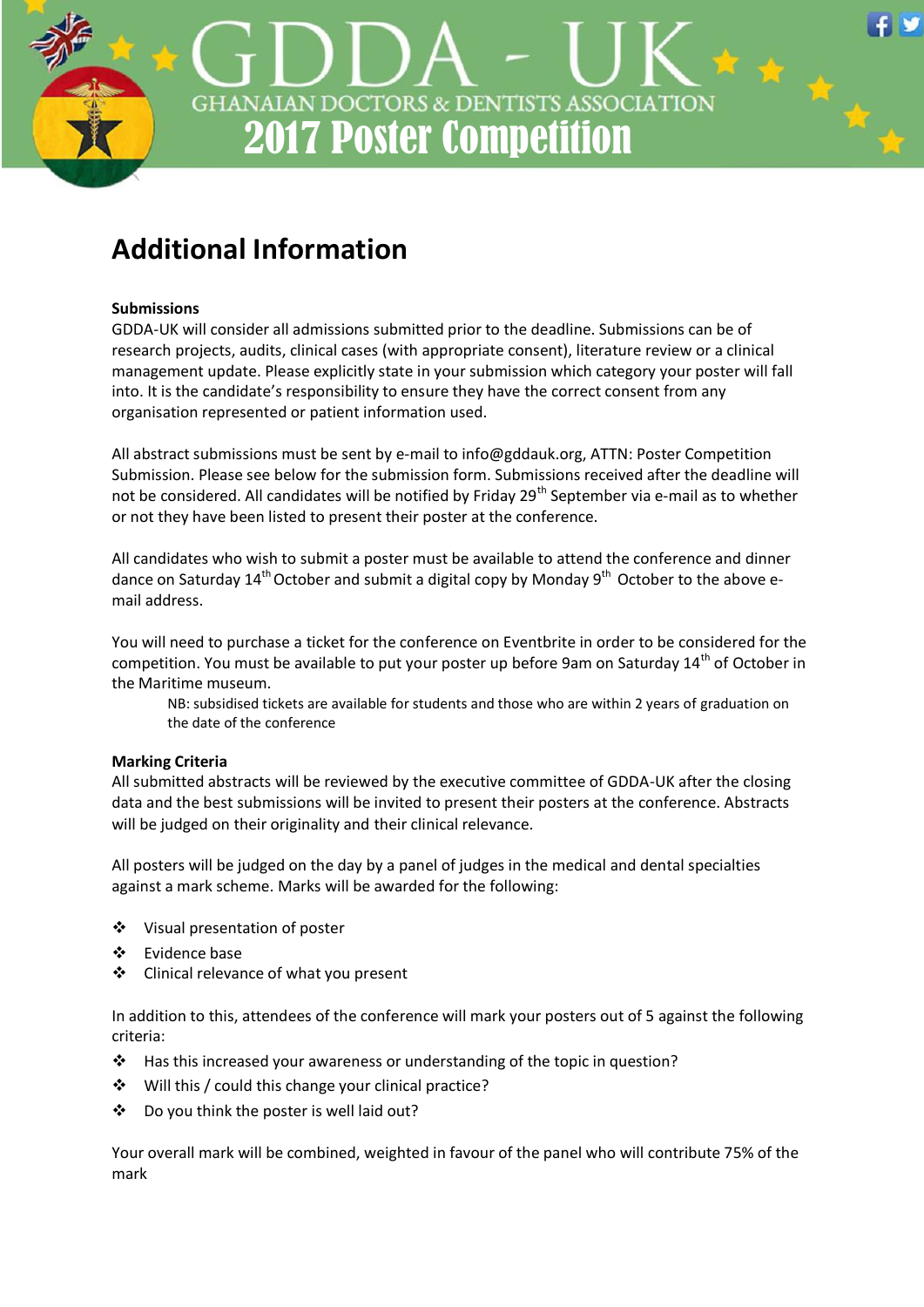

## **Additional Information**

#### **Submissions**

GDDA-UK will consider all admissions submitted prior to the deadline. Submissions can be of research projects, audits, clinical cases (with appropriate consent), literature review or a clinical management update. Please explicitly state in your submission which category your poster will fall into. It is the candidate's responsibility to ensure they have the correct consent from any organisation represented or patient information used.

All abstract submissions must be sent by e-mail to info@gddauk.org, ATTN: Poster Competition Submission. Please see below for the submission form. Submissions received after the deadline will not be considered. All candidates will be notified by Friday 29<sup>th</sup> September via e-mail as to whether or not they have been listed to present their poster at the conference.

All candidates who wish to submit a poster must be available to attend the conference and dinner dance on Saturday  $14^{th}$  October and submit a digital copy by Monday  $9^{th}$  October to the above email address.

You will need to purchase a ticket for the conference on Eventbrite in order to be considered for the competition. You must be available to put your poster up before 9am on Saturday 14<sup>th</sup> of October in the Maritime museum.

NB: subsidised tickets are available for students and those who are within 2 years of graduation on the date of the conference

#### **Marking Criteria**

All submitted abstracts will be reviewed by the executive committee of GDDA-UK after the closing data and the best submissions will be invited to present their posters at the conference. Abstracts will be judged on their originality and their clinical relevance.

All posters will be judged on the day by a panel of judges in the medical and dental specialties against a mark scheme. Marks will be awarded for the following:

- Visual presentation of poster
- Evidence base
- Clinical relevance of what you present

In addition to this, attendees of the conference will mark your posters out of 5 against the following criteria:

- \* Has this increased your awareness or understanding of the topic in question?
- ❖ Will this / could this change your clinical practice?
- Do you think the poster is well laid out?

Your overall mark will be combined, weighted in favour of the panel who will contribute 75% of the mark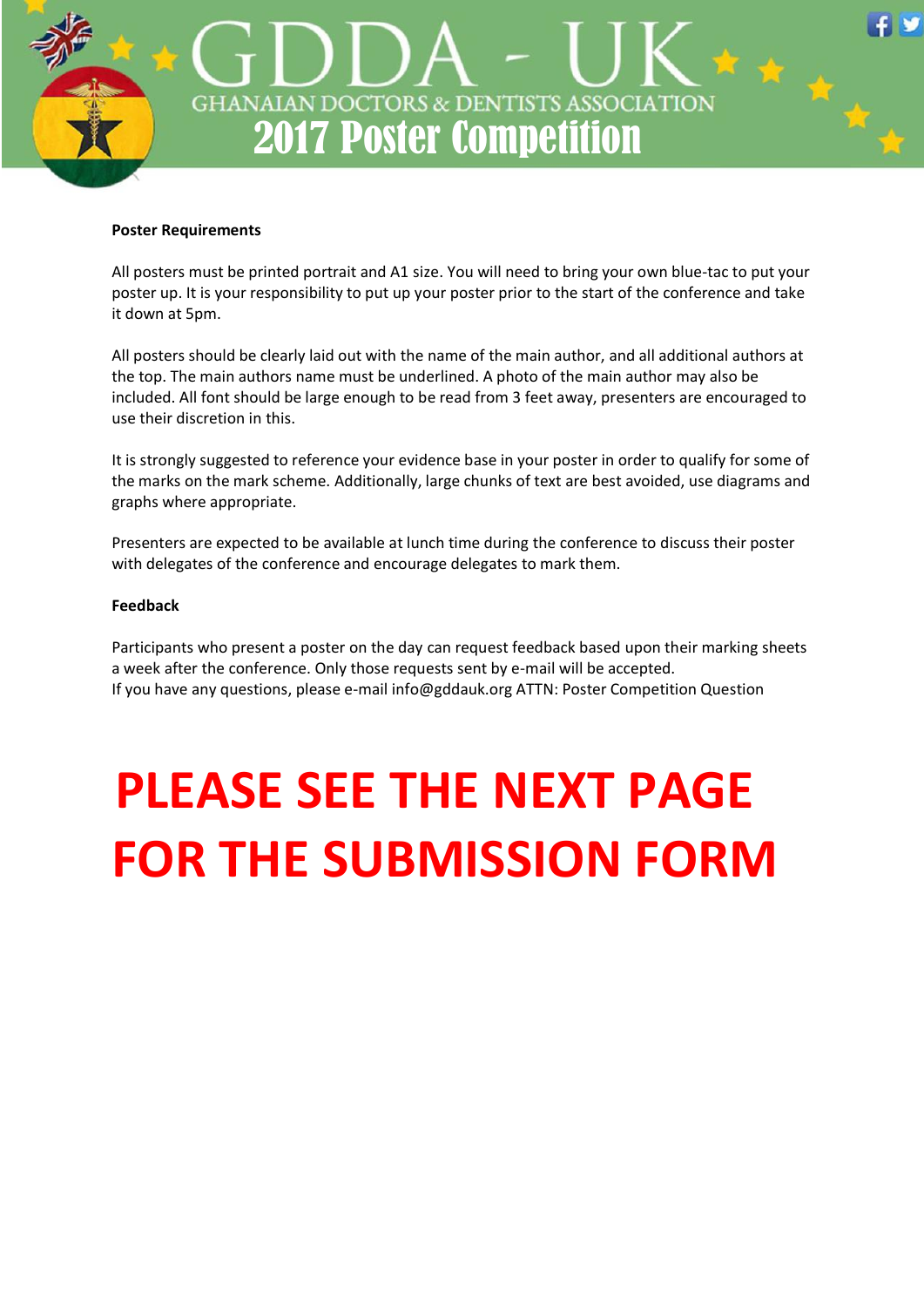

#### **Poster Requirements**

All posters must be printed portrait and A1 size. You will need to bring your own blue-tac to put your poster up. It is your responsibility to put up your poster prior to the start of the conference and take it down at 5pm.

All posters should be clearly laid out with the name of the main author, and all additional authors at the top. The main authors name must be underlined. A photo of the main author may also be included. All font should be large enough to be read from 3 feet away, presenters are encouraged to use their discretion in this.

It is strongly suggested to reference your evidence base in your poster in order to qualify for some of the marks on the mark scheme. Additionally, large chunks of text are best avoided, use diagrams and graphs where appropriate.

Presenters are expected to be available at lunch time during the conference to discuss their poster with delegates of the conference and encourage delegates to mark them.

#### **Feedback**

Participants who present a poster on the day can request feedback based upon their marking sheets a week after the conference. Only those requests sent by e-mail will be accepted. If you have any questions, please e-mail info@gddauk.org ATTN: Poster Competition Question

# **PLEASE SEE THE NEXT PAGE FOR THE SUBMISSION FORM**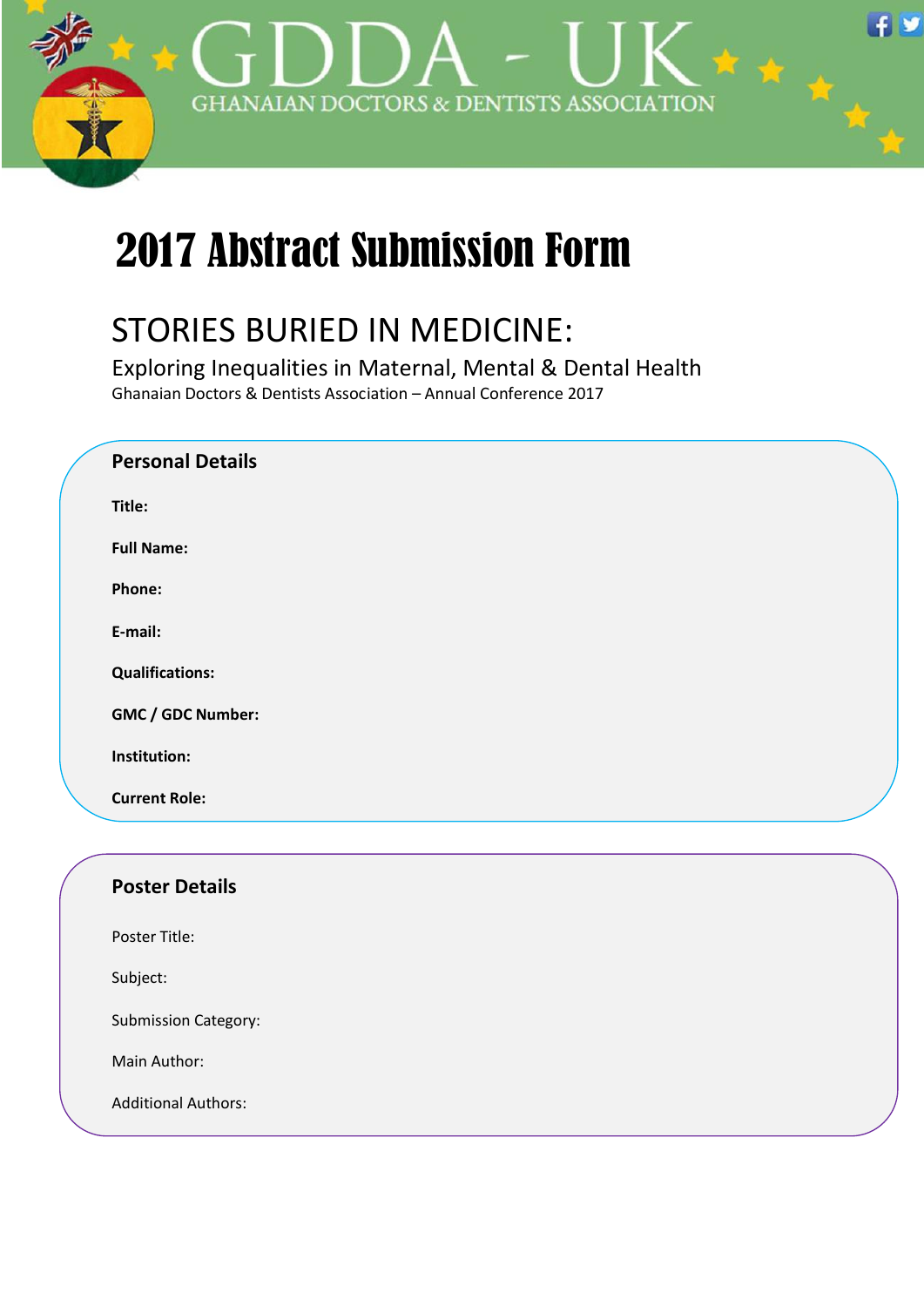

# 2017 Abstract Submission Form

## STORIES BURIED IN MEDICINE:

Exploring Inequalities in Maternal, Mental & Dental Health Ghanaian Doctors & Dentists Association – Annual Conference 2017

| <b>Personal Details</b> |  |
|-------------------------|--|
| Title:                  |  |
| <b>Full Name:</b>       |  |
| Phone:                  |  |
| E-mail:                 |  |
| <b>Qualifications:</b>  |  |
| GMC / GDC Number:       |  |
| Institution:            |  |
| <b>Current Role:</b>    |  |
|                         |  |
| <b>Poster Details</b>   |  |
| Poster Title:           |  |
| Subject:                |  |

Submission Category:

Main Author:

Additional Authors: